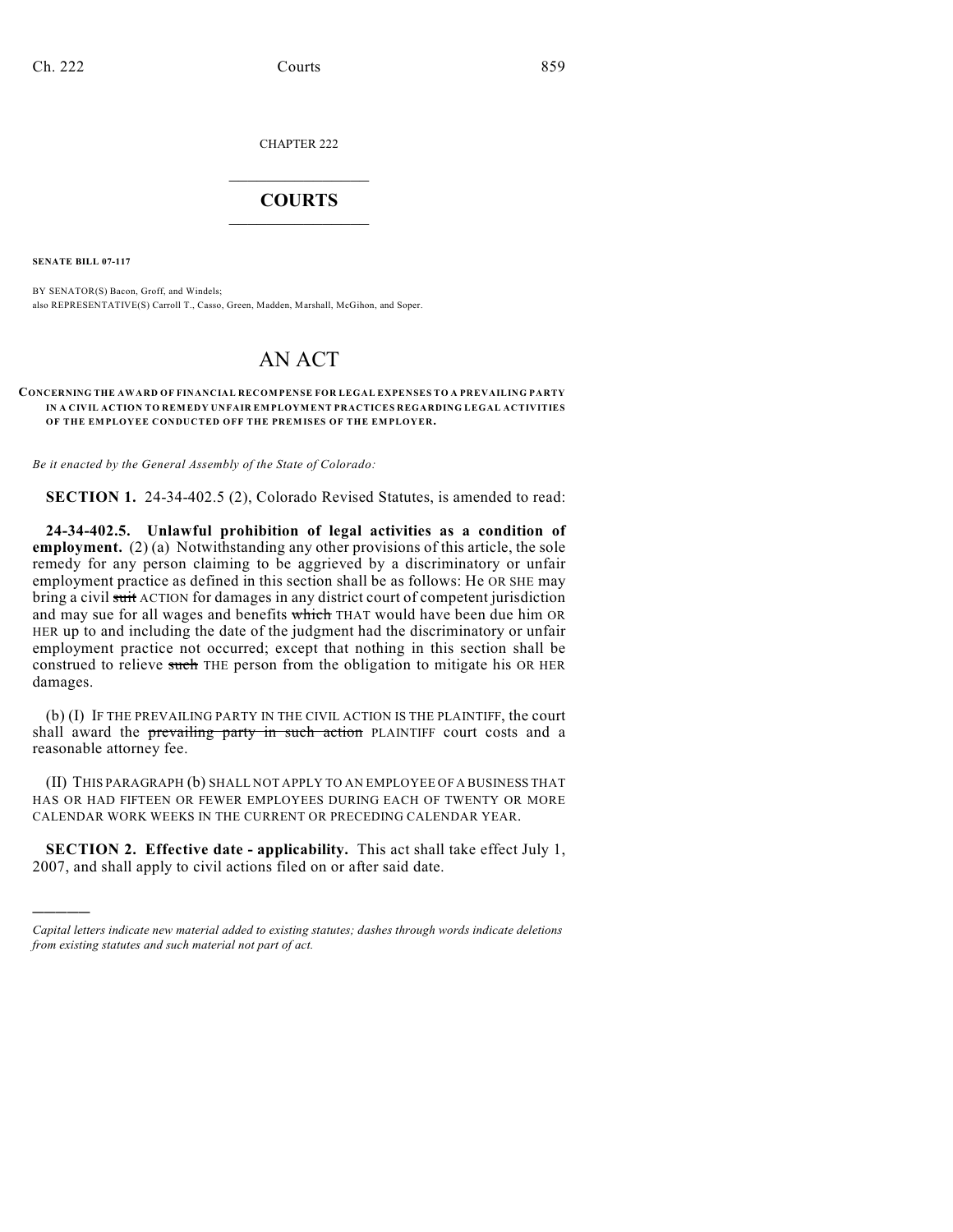CHAPTER 222

## $\mathcal{L}_\text{max}$  . The set of the set of the set of the set of the set of the set of the set of the set of the set of the set of the set of the set of the set of the set of the set of the set of the set of the set of the set **COURTS**  $\_$   $\_$   $\_$   $\_$   $\_$   $\_$   $\_$   $\_$

**SENATE BILL 07-117**

)))))

BY SENATOR(S) Bacon, Groff, and Windels; also REPRESENTATIVE(S) Carroll T., Casso, Green, Madden, Marshall, McGihon, and Soper.

## AN ACT

## **CONCERNING THE AWARD OF FINANCIAL RECOMPENSE FOR LEGAL EXPENSES TO A PREVAILING PARTY IN A CIVIL ACTION TO REMEDY UNFAIR EMPLOYMENT PRACTICES REGARDING LEGAL ACTIVITIES OF THE EMPLOYEE CONDUCTED OFF THE PREMISES OF THE EMPLOYER.**

*Be it enacted by the General Assembly of the State of Colorado:*

**SECTION 1.** 24-34-402.5 (2), Colorado Revised Statutes, is amended to read:

**24-34-402.5. Unlawful prohibition of legal activities as a condition of employment.** (2) (a) Notwithstanding any other provisions of this article, the sole remedy for any person claiming to be aggrieved by a discriminatory or unfair employment practice as defined in this section shall be as follows: He OR SHE may bring a civil suit ACTION for damages in any district court of competent jurisdiction and may sue for all wages and benefits which THAT would have been due him OR HER up to and including the date of the judgment had the discriminatory or unfair employment practice not occurred; except that nothing in this section shall be construed to relieve such THE person from the obligation to mitigate his OR HER damages.

(b) (I) IF THE PREVAILING PARTY IN THE CIVIL ACTION IS THE PLAINTIFF, the court shall award the prevailing party in such action PLAINTIFF court costs and a reasonable attorney fee.

(II) THIS PARAGRAPH (b) SHALL NOT APPLY TO AN EMPLOYEE OF A BUSINESS THAT HAS OR HAD FIFTEEN OR FEWER EMPLOYEES DURING EACH OF TWENTY OR MORE CALENDAR WORK WEEKS IN THE CURRENT OR PRECEDING CALENDAR YEAR.

**SECTION 2. Effective date - applicability.** This act shall take effect July 1, 2007, and shall apply to civil actions filed on or after said date.

*Capital letters indicate new material added to existing statutes; dashes through words indicate deletions from existing statutes and such material not part of act.*